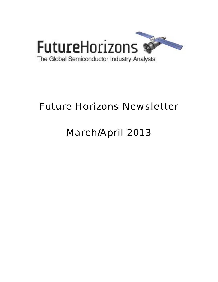

# Future Horizons Newsletter

# March/April 2013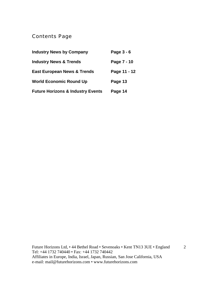# Contents Page

| <b>Industry News by Company</b>              | Page 3 - 6   |
|----------------------------------------------|--------------|
| <b>Industry News &amp; Trends</b>            | Page 7 - 10  |
| <b>East European News &amp; Trends</b>       | Page 11 - 12 |
| <b>World Economic Round Up</b>               | Page 13      |
| <b>Future Horizons &amp; Industry Events</b> | Page 14      |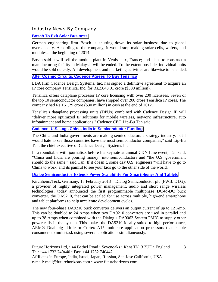Industry News By Company

#### **[Bosch To Exit Solar Business](http://www.eetindia.co.in/ART_8800683161_1800008_NT_1057c4d3.HTM?click_from=8800101796,9950114561,2013-03-26,EEIOL,ARTICLE_ALERT)**

German engineering firm Bosch is shutting down its solar business due to global overcapacity. According to the company, it would stop making solar cells, wafers, and modules at the beginning of 2014.

Bosch said it will sell the module plant in Vénissieux, France; and plans to construct a manufacturing facility in Malaysia will be ended. To the extent possible, individual units would be sold quickly. All development and marketing activities are likewise to be ended.

#### **[After Cosmic Circuits, Cadence Agrees To Buy Tensilica](http://www.eetindia.co.in/ART_8800682656_1800000_NT_29af09b8.HTM?click_from=8800101406,9950114561,2013-03-13,EEIOL,ARTICLE_ALERT)**

EDA firm Cadence Design Systems, Inc. has signed a definitive agreement to acquire an IP core company Tensilica, Inc. for Rs.2,043.01 crore (\$380 million).

Tensilica offers dataplane processor IP core licensing with over 200 licensees. Seven of the top 10 semiconductor companies, have shipped over 200 crore Tensilica IP cores. The company had Rs.161.29 crore (\$30 million) in cash at the end of 2012.

Tensilica's dataplane processing units (DPUs) combined with Cadence Design IP will "deliver more optimized IP solutions for mobile wireless, network infrastructure, auto infotainment and home applications," Cadence CEO Lip-Bu Tan said.

#### **[Cadence: U.S. Lags China, India In Semiconductor Funding](http://www.eetindia.co.in/ART_8800683005_1800000_NT_e583c929.HTM?click_from=8800101659,9950114561,2013-03-21,EEIOL,ARTICLE_ALERT)**

The China and India governments are making semiconductors a strategy industry, but I would hate to see those countries have the most semiconductor companies," said Lip-Bu Tan, the chief executive of Cadence Design Systems Inc.

In a roundtable with journalists before his keynote at annual CDN Line event, Tan said, "China and India are pouring money" into semiconductors and "the U.S. government should do the same," said Tan. If it doesn't, some day U.S. engineers "will have to go to China to work, and its painful to see your kids go to the other side of the world."

# **[Dialog Semiconductor Extends Power Scalability For Smartphones And Tablets](http://www.dialog-semiconductor.com/media-centre/press-releases/press-releases-details/2013/02/18/dialog-semiconductor-extends-power-scalability-for-smartphones-and-tablets)**

Kirchheim/Teck, Germany, 18 February 2013 – Dialog Semiconductor plc (FWB: DLG), a provider of highly integrated power management, audio and short range wireless technologies, today announced the first programmable multiphase DC-to-DC buck converter, the DA9210, that can be scaled for use across multiple, high-end smartphone and tablet platforms to help accelerate development cycles.

The new four-phase DA9210 buck converter delivers an output current of up to 12 Amp. This can be doubled to 24 Amps when two DA9210 converters are used in parallel and up to 38 Amps when combined with the Dialog's DA9063 System PMIC to supply other power rails in the system. This makes the DA9210 ideally suited to high performance, ARM® Dual big- Little or Cortex A15 multicore application processors that enable consumers to multi-task using several applications simultaneously.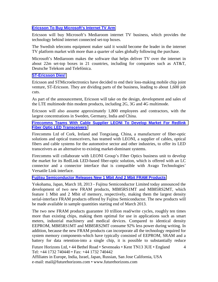# **[Ericsson To Buy Microsoft's Internet TV Arm](http://www.ft.com/cms/s/0/15fec856-a05c-11e2-a6e1-00144feabdc0.html#axzz2Pww9GAfb)**

Ericsson will buy Microsoft's Mediaroom internet TV business, which provides the technology behind internet connected set-top boxes.

The Swedish telecoms equipment maker said it would become the leader in the internet TV platform market with more than a quarter of sales globally following the purchase.

Microsoft's Mediaroom makes the software that helps deliver TV over the internet in about 22m set-top boxes in 21 countries, including for companies such as AT&T, Deutsche Telekom and Telefónica.

#### **[ST-Ericsson Dies!](http://www.eetindia.co.in/ART_8800682937_1800006_NT_421b3b21.HTM?click_from=8800101631,9950114561,2013-03-20,EEIOL,ARTICLE_ALERT)**

Ericsson and STMicroelectronics have decided to end their loss-making mobile chip joint venture, ST-Ericsson. They are dividing parts of the business, leading to about 1,600 job cuts.

As part of the announcement, Ericsson will take on the design, development and sales of the LTE multimode thin modem products, including 2G, 3G and 4G multimode.

Ericsson will also assume approximately 1,800 employees and contractors, with the largest concentrations in Sweden, Germany, India and China.

**[Firecomms Teams With Cable Supplier LEONI To Develop Market For Redlink](http://www.semiconductor-today.com/news_items/2013/MAR/FIRECOMMS_280313.html)  [Fiber Optic LED Transceivers](http://www.semiconductor-today.com/news_items/2013/MAR/FIRECOMMS_280313.html)**

Firecomms Ltd of Cork, Ireland and Tongxiang, China, a manufacturer of fiber-optic solutions and optical transceivers, has teamed with LEONI, a supplier of cables, optical fibers and cable systems for the automotive sector and other industries, to offer its LED transceivers as an alternative to existing market-dominant systems.

Firecomms will collaborate with LEONI Group's Fiber Optics business unit to develop the market for its RedLink LED-based fiber-optic solution, which is offered with an LC connector and a connector interface that is compatible with Avago Technologies' Versatile Link interface.

#### **[Fujitsu Semiconductor Releases New 1 Mbit And 2 Mbit FRAM Products](http://www.4-traders.com/FUJITSU-LIMITED-6492460/news/FUJITSU-LIMITED-Fujitsu-Semiconductor-Releases-New-1-Mbit-and-2-Mbit-FRAM-Products-16544547/)**

Yokohama, Japan, March 18, 2013 - Fujitsu Semiconductor Limited today announced the development of two new FRAM products, MB85RS1MT and MB85RS2MT, which feature 1 Mbit and 2 Mbit of memory, respectively, making them the largest density serial-interface FRAM products offered by Fujitsu Semiconductor. The new products will be made available in sample quantities starting end of March 2013.

4 The two new FRAM products guarantee 10 trillion read/write cycles, roughly ten times more than existing chips, making them optimal for use in applications such as smart meters, industrial machinery and medical devices. Compared to identical density EEPROM, MB85RS1MT and MB85RS2MT consume 92% less power during writing. In addition, because the new FRAM products can incorporate all the technology required for system memory components-which have typically consisted of EEPROM, SRAM and a battery for data retention-into a single chip, it is possible to substantially reduce

Future Horizons Ltd, • 44 Bethel Road • Sevenoaks • Kent TN13 3UE • England Tel: +44 1732 740440 • Fax: +44 1732 740442

Affiliates in Europe, India, Israel, Japan, Russian, San Jose California, USA e-mail: mail@futurehorizons.com • www.futurehorizons.com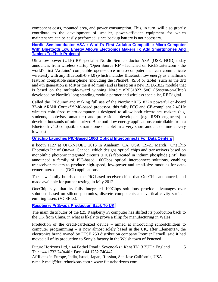component costs, mounted area, and power consumption. This, in turn, will also greatly contribute to the development of smaller, power-efficient equipment for which maintenance can be easily performed, since backup battery is not necessary.

#### **[Nordic Semiconductor ASA : World's First Arduino-Compatible Micro-Computer](http://www.4-traders.com/NORDIC-SEMICONDUCTOR-ASA-1413213/news/Nordic-Semiconductor-ASA-World-s-first-Arduino-compatible-micro-computer-with-Bluetooth-low-energy-16551649/)  [With Bluetooth Low Energy Allows Electronics Makers To Add Smartphones And](http://www.4-traders.com/NORDIC-SEMICONDUCTOR-ASA-1413213/news/Nordic-Semiconductor-ASA-World-s-first-Arduino-compatible-micro-computer-with-Bluetooth-low-energy-16551649/)  [Tablets To Their Projects](http://www.4-traders.com/NORDIC-SEMICONDUCTOR-ASA-1413213/news/Nordic-Semiconductor-ASA-World-s-first-Arduino-compatible-micro-computer-with-Bluetooth-low-energy-16551649/)**

Ultra low power (ULP) RF specialist Nordic Semiconductor ASA (OSE: NOD) today announces from wireless startup 'Open Source RF' - launched on KickStarter.com - the world's first 'Arduino' compatible open-source micro-computer that can communicate wirelessly with any Bluetooth<sup>®</sup> v4.0 (which includes Bluetooth low energy as a hallmark feature) compatible smartphone (including the iPhone® 4S/5) or tablet (such as the 3rd and 4th generation iPad® or the iPad mini) and is based on a new RFD51822 module that is based on the multiple-award winning Nordic nRF51822 SoC ('System-on-Chip') developed by Nordic's long standing module partner and wireless specialist, RF Digital.

Called the 'RFduino' and making full use of the Nordic nRF51822's powerful on-board 32-bit ARM<sup>®</sup> Cortex<sup>™</sup> M0-based processor, this fully FCC and CE-compliant 2.4GHz wireless coin-sized micro-computer is designed to allow both electroincs makers (e.g. students, hobbyists, amateurs) and professional developers (e.g. R&D engineers) to develop thousands of miniaturized Bluetooth low energy applications controllable from a Bluetooth v4.0 compatible smartphone or tablet in a very short amount of time at very low cost.

# **[Onechip Launches PIC-Based 100G Optical Interconnects For Data Centers](http://www.semiconductor-today.com/news_items/2013/MAR/ONECHIP_140313.html)**

n booth 1127 at OFC/NFOEC 2013 in Anaheim, CA, USA (19-21 March), OneChip Photonics Inc of Ottawa, Canada, which designs optical chips and transceivers based on monolithic photonic integrated circuits (PICs) fabricated in indium phosphide (InP), has announced a family of PIC-based 100Gbps optical interconnect solutions, enabling transceiver makers to produce high-speed, low-power and small-size modules for datacenter interconnect (DCI) applications.

The new family builds on the PIC-based receiver chips that OneChip announced, and made available for partner testing, in May 2012.

OneChip says that its fully integrated 100Gbps solutions provide advantages over solutions based on silicon photonics, discrete components and vertical-cavity surfaceemitting lasers (VCSELs).

# **[Raspberry Pi Swaps Production Back To UK](http://www.ft.com/cms/s/0/e8e65a6a-8d90-11e2-a0fd-00144feabdc0.html#axzz2PIIEg1bg)**

The main distributor of the £25 Raspberry Pi computer has shifted its production back to the UK from China, in what is likely to prove a fillip for manufacturing in Wales.

Production of the credit-card-sized device – aimed at introducing schoolchildren to computer programming – is now almost solely based in the UK, after Element14, the electronics brand owned by FTSE 250 distribution company Premier Farnell, said it had moved all of its production to Sony's factory in the Welsh town of Pencoed.

5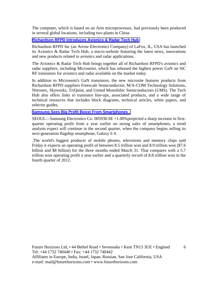The computer, which is based on an Arm microprocessor, had previously been produced in several global locations, including two plants in China

### **[Richardson RFPD Introduces Avionics & Radar Tech Hub](http://www.semiconductor-today.com/news_items/2013/FEB/RICHARDSON_270213.html)**

Richardson RFPD Inc (an Arrow Electronics Company) of LaFox, IL, USA has launched its Avionics & Radar Tech Hub, a micro-website featuring the latest news, innovations and new products related to avionics and radar applications.

The Avionics & Radar Tech Hub brings together all of Richardson RFPD's avionics and radar suppliers, including Microsemi, which has released the highest power GaN on SiC RF transistors for avionics and radar available on the market today.

In addition to Microsemi's GaN transistors, the new microsite features products from Richardson RFPD suppliers Freescale Semiconductor, M/A-COM Technology Solutions, Nitronex, Skyworks, TriQuint, and United Monolithic Semiconductors (UMS). The Tech Hub also offers links to transistor line-ups, associated products, and a wide range of technical resources that includes block diagrams, technical articles, white papers, and selector guides.

#### **[Samsung Sees Big Profit Boost From Smartphones .](http://online.wsj.com/article/SB10001424127887323646604578403271690906116.html?mod=djemTechEurope_h)**

SEOUL—Samsung Electronics Co. 005930.SE +1.00%projected a sharp increase in firstquarter operating profit from a year earlier on strong sales of smartphones, a trend analysts expect will continue in the second quarter, when the company begins selling its next-generation flagship smartphone, Galaxy S 4.

.The world's biggest producer of mobile phones, televisions and memory chips said Friday it expects an operating profit of between 8.5 trillion won and 8.9 trillion won (\$7.6 billion and \$8 billion) for the three months ended March 31. That compares with a 5.7 trillion won operating profit a year earlier and a quarterly record of 8.8 trillion won in the fourth quarter of 2012.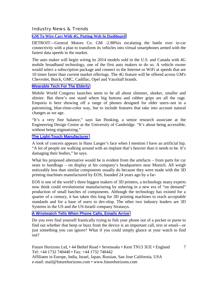Industry News & Trends

#### **[GM To Wire Cars With 4G, Putting Web In Dashboard](http://online.wsj.com/article/SB10001424127887323884304578324440037672064.html?mod=djemTechEurope_h)**

DETROIT—General Motors Co. GM -2.88%is escalating the battle over in-car connectivity with a plan to transform its vehicles into virtual smartphones armed with the fastest data speeds in the market.

The auto maker will begin wiring its 2014 models sold in the U.S. and Canada with 4G mobile broadband technology, one of the first auto makers to do so. A vehicle owner would select a subscription package and connect to the Internet or WiFi at speeds that are 10 times faster than current market offerings. The 4G feature will be offered across GM's Chevrolet, Buick, GMC, Cadillac, Opel and Vauxhall brands.

#### **[Wearable Tech For The Elderly](http://blogs.wsj.com/tech-europe/2013/02/25/trying-out-wearable-tech-for-the-elderly/?mod=djemTechEurope_h)**

Mobile World Congress launches seem to be all about slimmer, sleeker, smaller and shinier. But there's one stand where big buttons and rubber grips are all the rage. Emporia is here showing off a range of phones designed for older users–not in a patronizing, blue-rinse-color way, but to include features that take into account natural changes as we age.

"It's a very fine balance," says Ian Hosking, a senior research associate at the Engineering Design Centre at the University of Cambridge. "It's about being accessible, without being stigmatizing."

# **[The Light-Touch Manufacturer](http://www.ft.com/cms/s/0/4eeab09c-7156-11e2-9b5c-00144feab49a.html#axzz2M5moambA)**

A look of concern appears in Hans Langer's face when I mention I have an artificial hip. "A lot of people are walking around with an implant that's heavier than it needs to be. It's damaging their bodies," he says.

What his proposed alternative would be is evident from the artefacts – from parts for car seats to handbags – on display at his company's headquarters near Munich. All weigh noticeably less than similar components usually do because they were made with the 3D printing machines manufactured by EOS, founded 24 years ago by a far-

EOS is one of the world's three biggest makers of 3D printers, a technology many experts now think could revolutionise manufacturing by ushering in a new era of "on demand" production of small batches of components. Although the technology has existed for a quarter of a century, it has taken this long for 3D printing machines to reach acceptable standards and for a base of users to dev-elop. The other two industry leaders are 3D Systems in the US and the US-Israeli company Stratasys.

# **[A Wristwatch Tells When Phone Calls, Emails Arrive](http://online.wsj.com/article/SB10001424127887324338604578328210441670142.html?mod=wsj_email_newsletter)**

Do you ever find yourself frantically trying to fish your phone out of a pocket or purse to find out whether that beep or buzz from the device is an important call, text or email—or just something you can ignore? What if you could simply glance at your watch to find out?

7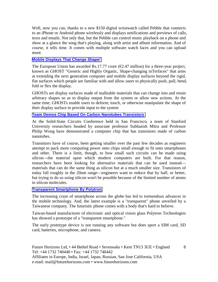Well, now you can, thanks to a new \$150 digital wristwatch called Pebble that connects to an iPhone or Android phone wirelessly and displays notifications and previews of calls, texts and emails. Not only that, but the Pebble can control music playback on a phone and show at a glance the song that's playing, along with artist and album information. And of course, it tells time. It comes with multiple software watch faces and you can upload more.

#### **[Mobile Displays That Change Shape!](http://www.eetindia.co.in/ART_8800682305_1800010_NT_8e793cfe.HTM?click_from=8800101181,9950114561,2013-03-05,EEIOL,ARTICLE_ALERT)**

The European Union has awarded Rs.17.77 crore  $(\mathcal{Q}.47$  million) for a three-year project, known as GHOST "Generic and Highly Organic, Shape-changing inTerfaces" that aims at extending the next generation computer and mobile display surfaces beyond the rigid, flat surfaces which people are familiar with and allow users to physically push, pull, bend, fold or flex the display.

GHOSTs are display surfaces made of malleable materials that can change into and retain arbitrary shapes so as to display output from the system or allow new actions. At the same time, GHOSTs enable users to deform, touch, or otherwise manipulate the shape of their display surface to provide input to the system

#### **[Team Demos Chip Based On Carbon Nanotubes Transistors](http://www.eetindia.co.in/ART_8800682299_1800000_NT_36142079.HTM?8800101181&8800682299&click_from=8800101181,9950114561,2013-03-05,EEIOL,ARTICLE_ALERT)**

At the Solid-State Circuits Conference held in San Francisco, a team of Stanford University researchers headed by associate professor Subhasish Mitra and Professor Philip Wong have demonstrated a computer chip that has transistors made of carbon nanotubes.

Transistors have of course, been getting smaller over the past few decades as engineers attempt to pack more computing power onto chips small enough to fit onto smartphones and other. There is a limit, though, to how small such circuits can be made using silicon—the material upon which modern computers are built. For that reason, researchers have been looking for alternative materials that can be used instead materials that can do the same thing as silicon but at a much smaller size. Transistors of today fall roughly in the 20nm range—engineers want to reduce that by half, or better, but trying to do so using silicon won't be possible because of the limited number of atoms in silicon molecules.

#### **[Transparent Smartphone By Polytron](http://www.eetindia.co.in/ART_8800681674_1800004_NT_0aec6143.HTM?click_from=8800100808,9950114561,2013-02-14,EEIOL,ARTICLE_ALERT)**

The increasing craze of smartphone across the globe has led to tremendous advances in the mobile technology. And, the latest example is a "transparent" phone unveiled by a Taiwanese company. The futuristic phone comes with a body that's hard to believe.

Taiwan-based manufacturer of electronic and optical vision glass Polytron Technologies has showed a prototype of a "transparent smartphone."

The early prototype device is not running any software but does sport a SIM card, SD card, batteries, microphone, and camera.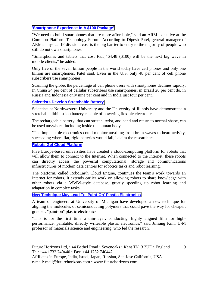# **['Smartphone Experience In A \\$100 Package'](http://www.eetindia.co.in/ART_8800681673_1800001_NT_74bc94d5.HTM?8800100808&8800681673&click_from=8800100808,9950114561,2013-02-14,EEIOL,ARTICLE_ALERT)**

"We need to build smartphones that are more affordable," said an ARM executive at the Common Platform Technology Forum. According to Dipesh Patel, general manager of ARM's physical IP division, cost is the big barrier to entry to the majority of people who still do not own smartphones.

"Smartphones and tablets that cost Rs.5,464.48 (\$100) will be the next big wave in mobile clients," he added.

Only five of the seven billion people in the world today have cell phones and only one billion are smartphones, Patel said. Even in the U.S. only 48 per cent of cell phone subscribers use smartphones.

Scanning the globe, the percentage of cell phone users with smartphones declines rapidly. In China 24 per cent of cellular subscribers use smartphones, in Brazil 20 per cent do, in Russia and Indonesia only nine per cent and in India just four per cent.

#### **[Scientists Develop Stretchable Battery](http://www.eetindia.co.in/ART_8800682158_1800008_NT_18873d23.HTM?click_from=8800101020,9950114561,2013-02-28,EEIOL,ARTICLE_ALERT)**

Scientists at Northwestern University and the University of Illinois have demonstrated a stretchable lithium-ion battery capable of powering flexible electronics.

The rechargeable battery, that can stretch, twist, and bend and return to normal shape, can be used anywhere, including inside the human body.

"The implantable electronics could monitor anything from brain waves to heart activity, succeeding where flat, rigid batteries would fail," claim the researchers.

#### **[Robots Get Cloud Platform](http://www.eetindia.co.in/ART_8800682694_1800005_NT_5651d03a.HTM?click_from=8800101560,9950114561,2013-03-18,EEIOL,ARTICLE_ALERT)**

Five Europe-based universities have created a cloud-computing platform for robots that will allow them to connect to the Internet. When connected to the Internet, these robots can directly access the powerful computational, storage and communications infrastructures of modern data centres for robotics tasks and robot learning.

The platform, called RoboEarth Cloud Engine, continues the team's work towards an Internet for robots. It extends earlier work on allowing robots to share knowledge with other robots via a WWW-style database, greatly speeding up robot learning and adaptation in complex tasks.

#### **[New Technique May Lead To 'Paint-On' Plastic Electronics](http://www.eetindia.co.in/ART_8800683160_1800001_NT_f89c2d3f.HTM?8800101796&8800683160&click_from=8800101796,9950114561,2013-03-26,EEIOL,ARTICLE_ALERT)**

A team of engineers at University of Michigan have developed a new technique for aligning the molecules of semiconducting polymers that could pave the way for cheaper, greener, "paint-on" plastic electronics.

"This is for the first time a thin-layer, conducting, highly aligned film for highperformance, paintable, directly writeable plastic electronics," said Jinsang Kim, U-M professor of materials science and engineering, who led the research.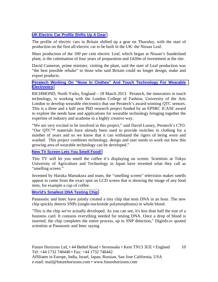#### **[UK Electric Car Profile Shifts Up A Gear](http://www.ft.com/cms/s/0/577696ec-96fc-11e2-8950-00144feabdc0.html#axzz2PIIEg1bg)**

The profile of electric cars in Britain shifted up a gear on Thursday, with the start of production on the first all-electric car to be built in the UK: the Nissan Leaf.

Mass production of the 100 per cent electric Leaf, which began at Nissan's Sunderland plant, is the culmination of four years of preparation and £420m of investment at the site.

David Cameron, prime minister, visiting the plant, said the start of Leaf production was "the best possible rebuke" to those who said Britain could no longer design, make and export products.

#### **[Peratech Working On "Nose In Clothes" And Touch Technology For Wearable](http://www.peratech.com/nose-in-clothes.html)  [Electronics](http://www.peratech.com/nose-in-clothes.html)**

RICHMOND, North Yorks, England – 18 March 2013. Peratech, the innovators in touch technology, is working with the London College of Fashion, University of the Arts London to develop wearable electronics that use Peratech's award-winning QTC sensors. This is a three and a half year PhD research project funded by an EPSRC ICASE award to explore the needs base and applications for wearable technology bringing together the expertise of industry and academe in a highly creative way.

"We are very excited to be involved in this project," said David Lussey, Peratech's CTO. "Our QTC™ materials have already been used to provide switches in clothing for a number of years and so we know that it can withstand the rigors of being worn and washed. This project combines technology, design and user needs to work out how this growing area of wearable technology can be developed."

#### **[New TV Screen Lets You Smell Food!](http://www.eetindia.co.in/ART_8800683468_1800010_NT_efc99319.HTM?click_from=8800102066,9950114561,2013-04-08,EEIOL,ARTICLE_ALERT)**

This TV will let you smell the coffee it's displaying on screen. Scientists at Tokyo University of Agriculture and Technology in Japan have invented what they call as "smelling screen."

Invented by Haruka Matsukura and team, the "smelling screen" television makes smells appear to come from the exact spot on LCD screen that is showing the image of any food item, for example a cup of coffee.

# **[World's Smallest DNA Testing Chip](http://www.eetindia.co.in/ART_8800683634_1800015_NT_8d3534f6.HTM?click_from=8800102079,9950114561,2013-04-09,EEIOL,ARTICLE_ALERT)**

Panasonic and Imec have jointly created a tiny chip that tests DNA in an hour. The new chip quickly detects SNPs (single-nucleotide polymorphisms) in whole blood.

"This is the chip we've actually developed. As you can see, it's less than half the size of a business card. It contains everything needed for testing DNA. Once a drop of blood is inserted, the chip completes the entire process, up to SNP detection," Diginfo.tv quoted scientists at Panasonic and Imec saying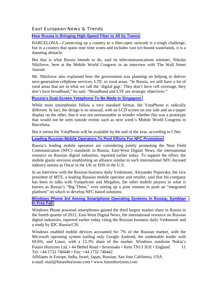#### East European News & Trends

#### **[How Russia Is Bringing High-Speed Fiber to All Its Towns](http://blogs.wsj.com/tech-europe/2013/02/26/how-russia-is-bringing-high-speed-fiber-to-all-its-towns/?mod=djemTechEurope_h)**

BARCELONA—Connecting up a country to a fiber-optic network is a tough challenge, but in a country that spans nine time zones and includes vast ice-bound wastelands, it is a daunting obstacle.

But that is what Russia intends to do, said its telecommunications minister, Nikolai Nikiforov, here at the Mobile World Congress in an interview with The Wall Street Journal.

Mr. Nikiforov also explained how the government was planning on helping to deliver next-generation cellphone services, LTE, to rural areas. "In Russia, we still have a lot of rural areas that are in what we call the 'digital gap.' They don't have cell coverage, they don't have broadband," he said. "Broadband and LTE are strategic objectives."

#### **[Russia's Dual-Screen Yotaphone To Be Made In Singapore](http://blogs.wsj.com/tech-europe/2013/02/21/russias-dual-screen-yotaphone-to-be-made-in-singapore/?mod=djemTechEurope_h)**

While most smartphones follow a very standard format, the YotaPhone is radically different. In fact, the design is so unusual, with an LCD screen on one side and an e-paper display on the other, that it was not unreasonable to wonder whether this was a prototype that would not be seen outside events such as next week's Mobile World Congress in Barcelona.

But it seems the YotaPhone will be available by the end of the year, according to CNet.

#### **[Leading Russian Mobile Operators To Pool Efforts For NFC Promotion](http://www.marchmontnews.com/Telecoms-Media/Central-regions/19415-Leading-Russian-mobile-operators-pool-efforts-for-NFC-promotion.html)**

Russia's leading mobile operators are considering jointly promoting the Near Field Communication (NFC) standards in Russia, East-West Digital News, the international resource on Russian digital industries, reported earlier today. To support the effort, the mobile giants envision establishing an alliance similar to such international NFC-focused industry unions as Oscar in the UK or ISIS in the U.S.

In an interview with the Russian business daily Vedomosti, Alexander Popovsky, the vice president of MTS, a leading Russian mobile operator and retailer, said that his company has been in talks with Vimpelcom and Megafon, the other mobile players in what is known as Russia's "Big Three," over setting up a joint venture to push an "integrated platform" on which to develop NFC-based solutions.

#### **[Windows Phone 3rd Among Smartphone Operating Systems In Russia; Symbian](http://www.marchmontnews.com/Telecoms-Media/Central-regions/19419-Windows-Phone-3rd-among-smartphone-operating-systems-Russia-Symbian-free-fall.html)  [In Free Fall](http://www.marchmontnews.com/Telecoms-Media/Central-regions/19419-Windows-Phone-3rd-among-smartphone-operating-systems-Russia-Symbian-free-fall.html)**

Windows Phone powered smartphones gained the third largest market share in Russia in the fourth quarter of 2012, East-West Digital News, the international resource on Russian digital industries, reported earlier today citing the Russian business daily Vedomosti and a study by IDC Russia/CIS.

Future Horizons Ltd, • 44 Bethel Road • Sevenoaks • Kent TN13 3UE • England Tel: +44 1732 740440 • Fax: +44 1732 740442 11 Windows enabled mobile devices accounted for 7% of the Russian market, with the Microsoft operating system trailing only Google Android, the undeniable leader with 69.6%, and Linux, with a 12.3% share of the market. Windows outshone Nokia's

Affiliates in Europe, India, Israel, Japan, Russian, San Jose California, USA e-mail: mail@futurehorizons.com • www.futurehorizons.com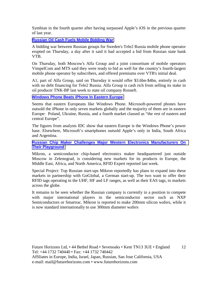Symbian in the fourth quarter after having surpassed Apple's iOS in the previous quarter of last year.

#### **[Russian Oil Cash Fuels Mobile Bidding War](http://www.ft.com/cms/s/0/d329d84c-97c1-11e2-b7ef-00144feabdc0.html#axzz2PIIEg1bg)**

A bidding war between Russian groups for Sweden's Tele2 Russia mobile phone operator erupted on Thursday, a day after it said it had accepted a bid from Russian state bank VTB.

On Thursday, both Moscow's Alfa Group and a joint consortium of mobile operators VimpelCom and MTS said they were ready to bid as well for the country's fourth-largest mobile phone operator by subscribers, and offered premiums over VTB's initial deal.

A1, part of Alfa Group, said on Thursday it would offer \$3.6bn-\$4bn, entirely in cash with no debt financing for Tele2 Russia. Alfa Group is cash rich from selling its stake in oil producer TNK-BP last week to state oil company Rosneft.

#### **[Windows Phone Beats iPhone In Eastern Europe](http://blogs.wsj.com/tech-europe/2013/03/28/windows-phone-beats-iphone-in-eastern-europe/?mod=djemTechEurope_h)**

Seems that eastern Europeans like Windows Phone. Microsoft-powered phones have outsold the iPhone in only seven markets globally and the majority of them are in eastern Europe: Poland, Ukraine, Russia, and a fourth market classed as "the rest of eastern and central Europe".

The figures from analysts IDC show that eastern Europe is the Windows Phone's power base. Elsewhere, Microsoft's smartphones outsold Apple's only in India, South Africa and Argentina.

**[Russian Chip Maker Challenges Major Western Electronics Manufacturers On](http://rbth.ru/business_news/2013/04/04/russian_chip_maker_challenges_major_western_electronics_manufac_24665.html)  [Their Playground](http://rbth.ru/business_news/2013/04/04/russian_chip_maker_challenges_major_western_electronics_manufac_24665.html)**

Mikron, a semiconductor chip-based electronics maker headquartered just outside Moscow in Zelenograd, is considering new markets for its products in Europe, the Middle East, Africa, and North America, RFID Expert reported last week.

Special Project: Top Russian start-ups Mikron reportedly has plans to expand into these markets in partnership with GoGlobal, a German start-up. The two want to offer their RFID tags operating in the UHF, HF and LF ranges, as well as their EAS tags, to markets across the globe.

It remains to be seen whether the Russian company is currently in a position to compete with major international players in the semiconductor sector such as NXP Semiconductors or Smartrac. Mikron is reported to make 200mm silicon wafers, while it is now standard internationally to use 300mm diameter wafers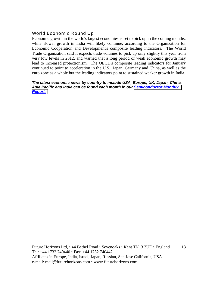# World Economic Round Up

Economic growth in the world's largest economies is set to pick up in the coming months, while slower growth in India will likely continue, according to the Organization for Economic Cooperation and Development's composite leading indicators. The World Trade Organization said it expects trade volumes to pick up only slightly this year from very low levels in 2012, and warned that a long period of weak economic growth may lead to increased protectionism. The OECD's composite leading indicators for January continued to point to acceleration in the U.S., Japan, Germany and China, as well as the euro zone as a whole but the leading indicators point to sustained weaker growth in India.

#### *The latest economic news by country to include USA, Europe, UK, Japan, China, Asia Pacific and India can be found each month in our [Semiconductor Monthly](http://www.futurehorizons.com/page/18/Global-Semiconductor-Report)  [Report.](http://www.futurehorizons.com/page/18/Global-Semiconductor-Report)*